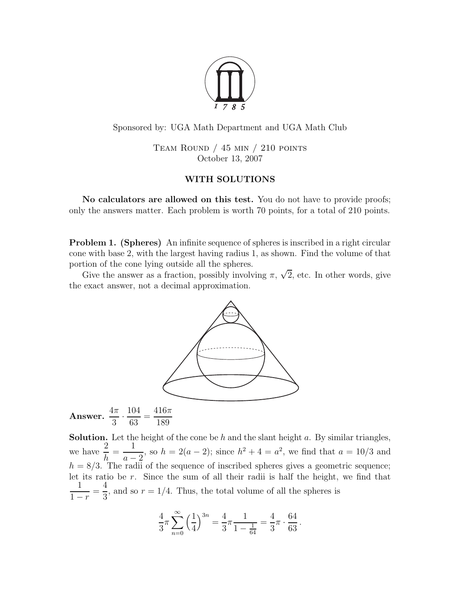

Sponsored by: UGA Math Department and UGA Math Club

TEAM ROUND  $/$  45 min  $/$  210 points October 13, 2007

## WITH SOLUTIONS

No calculators are allowed on this test. You do not have to provide proofs; only the answers matter. Each problem is worth 70 points, for a total of 210 points.

Problem 1. (Spheres) An infinite sequence of spheres is inscribed in a right circular cone with base 2, with the largest having radius 1, as shown. Find the volume of that portion of the cone lying outside all the spheres.

Give the answer as a fraction, possibly involving  $\pi$ ,  $\sqrt{2}$ , etc. In other words, give the exact answer, not a decimal approximation.



Answer.  $\frac{4\pi}{3}$  $\overline{3}$ . 63 = 189

**Solution.** Let the height of the cone be  $h$  and the slant height  $a$ . By similar triangles, we have  $\frac{2}{1}$  $h_{\mathbf{r}}$ = 1  $a-2$ <br>radii , so  $h = 2(a - 2)$ ; since  $h^2 + 4 = a^2$ , we find that  $a = 10/3$  and  $h = 8/3$ . The radii of the sequence of inscribed spheres gives a geometric sequence; let its ratio be  $r$ . Since the sum of all their radii is half the height, we find that 1  $1 - r$ = 4 3 , and so  $r = 1/4$ . Thus, the total volume of all the spheres is

$$
\frac{4}{3}\pi \sum_{n=0}^{\infty} \left(\frac{1}{4}\right)^{3n} = \frac{4}{3}\pi \frac{1}{1 - \frac{1}{64}} = \frac{4}{3}\pi \cdot \frac{64}{63}.
$$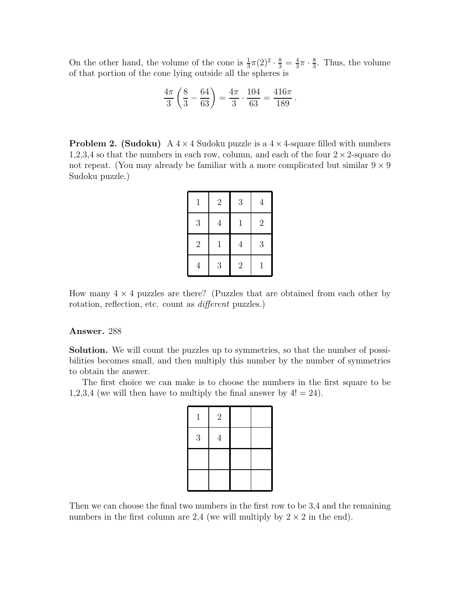On the other hand, the volume of the cone is  $\frac{1}{3}\pi(2)^2 \cdot \frac{8}{3} = \frac{4}{3}$  $\frac{4}{3}\pi \cdot \frac{8}{3}$  $\frac{8}{3}$ . Thus, the volume of that portion of the cone lying outside all the spheres is

$$
\frac{4\pi}{3}\left(\frac{8}{3}-\frac{64}{63}\right)=\frac{4\pi}{3}\cdot\frac{104}{63}=\frac{416\pi}{189}.
$$

**Problem 2. (Sudoku)** A  $4 \times 4$  Sudoku puzzle is a  $4 \times 4$ -square filled with numbers 1,2,3,4 so that the numbers in each row, column, and each of the four  $2 \times 2$ -square do not repeat. (You may already be familiar with a more complicated but similar  $9 \times 9$ Sudoku puzzle.)

| $\mathbf{1}$     | $\overline{2}$ | 3              | $\overline{4}$ |
|------------------|----------------|----------------|----------------|
| $\boldsymbol{3}$ | $\overline{4}$ | 1              | $\overline{2}$ |
| $\overline{2}$   | 1              | $\overline{4}$ | 3              |
| 4                | 3              | $\overline{2}$ | 1              |

How many  $4 \times 4$  puzzles are there? (Puzzles that are obtained from each other by rotation, reflection, etc. count as different puzzles.)

## Answer. 288

Solution. We will count the puzzles up to symmetries, so that the number of possibilities becomes small, and then multiply this number by the number of symmetries to obtain the answer.

The first choice we can make is to choose the numbers in the first square to be 1,2,3,4 (we will then have to multiply the final answer by  $4! = 24$ ).

| $\mathbf{1}$ | $\overline{2}$ |  |
|--------------|----------------|--|
| $\sqrt{3}$   | 4              |  |
|              |                |  |
|              |                |  |

Then we can choose the final two numbers in the first row to be 3,4 and the remaining numbers in the first column are 2,4 (we will multiply by  $2 \times 2$  in the end).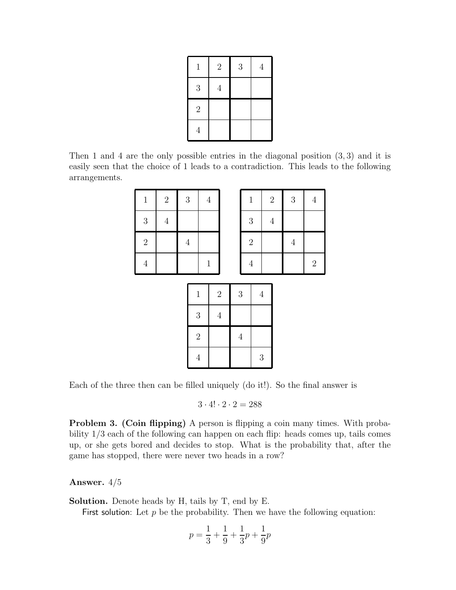| $\mathbf{1}$   | $\sqrt{2}$     | 3 | $\overline{4}$ |
|----------------|----------------|---|----------------|
| $\mathfrak{Z}$ | $\overline{4}$ |   |                |
| $\sqrt{2}$     |                |   |                |
| $\overline{4}$ |                |   |                |

Then 1 and 4 are the only possible entries in the diagonal position (3, 3) and it is easily seen that the choice of 1 leads to a contradiction. This leads to the following arrangements.

| $\,1\,$    | $\sqrt{2}$ | $\sqrt{3}$  |            | $\sqrt{4}$ |  |            | $\,1\,$        |         | $\sqrt{2}$ | $\sqrt{3}$ | $\overline{4}$ |
|------------|------------|-------------|------------|------------|--|------------|----------------|---------|------------|------------|----------------|
| $\sqrt{3}$ | $\sqrt{4}$ |             |            |            |  |            | $\mathbf{3}$   |         | $\sqrt{4}$ |            |                |
| $\sqrt{2}$ |            | $\sqrt{4}$  |            |            |  |            | $\overline{2}$ |         |            | $\,4\,$    |                |
| $\sqrt{4}$ |            | $\mathbf 1$ |            |            |  |            | $\sqrt{4}$     |         |            |            | $\sqrt{2}$     |
|            |            |             |            |            |  |            |                |         |            |            |                |
|            |            | $\,1\,$     |            | $\sqrt{2}$ |  | $\sqrt{3}$ |                | $\,4\,$ |            |            |                |
|            |            | $\sqrt{3}$  |            | $\,4\,$    |  |            |                |         |            |            |                |
|            |            |             | $\sqrt{2}$ |            |  | $\sqrt{4}$ |                |         |            |            |                |
|            |            |             |            |            |  |            |                |         |            |            |                |

Each of the three then can be filled uniquely (do it!). So the final answer is

 $3 \cdot 4! \cdot 2 \cdot 2 = 288$ 

4 3

Problem 3. (Coin flipping) A person is flipping a coin many times. With probability 1/3 each of the following can happen on each flip: heads comes up, tails comes up, or she gets bored and decides to stop. What is the probability that, after the game has stopped, there were never two heads in a row?

## Answer. 4/5

Solution. Denote heads by H, tails by T, end by E.

First solution: Let  $p$  be the probability. Then we have the following equation:

$$
p = \frac{1}{3} + \frac{1}{9} + \frac{1}{3}p + \frac{1}{9}p
$$